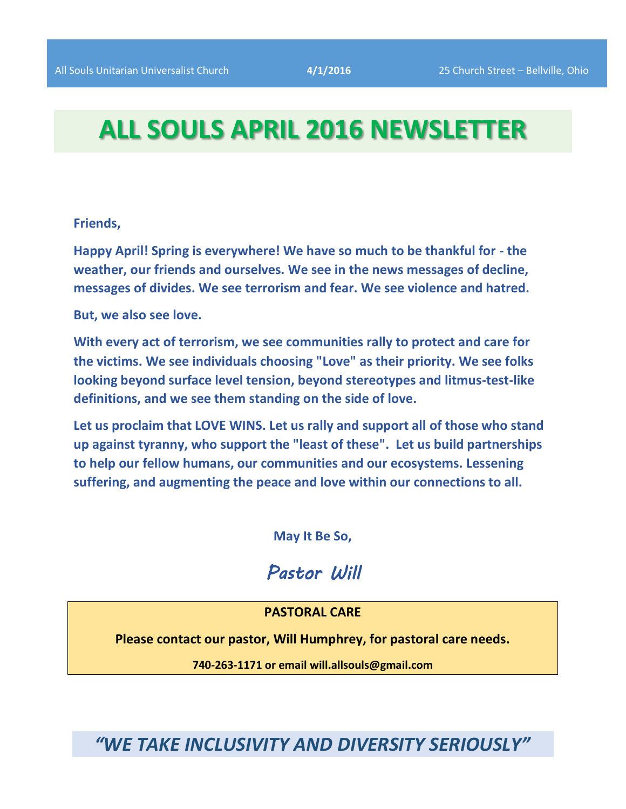# **ALL SOULS APRIL 2016 NEWSLETTER**

#### **Friends,**

**Happy April! Spring is everywhere! We have so much to be thankful for - the weather, our friends and ourselves. We see in the news messages of decline, messages of divides. We see terrorism and fear. We see violence and hatred.**

**But, we also see love.**

**With every act of terrorism, we see communities rally to protect and care for the victims. We see individuals choosing "Love" as their priority. We see folks looking beyond surface level tension, beyond stereotypes and litmus-test-like definitions, and we see them standing on the side of love.**

**Let us proclaim that LOVE WINS. Let us rally and support all of those who stand up against tyranny, who support the "least of these". Let us build partnerships to help our fellow humans, our communities and our ecosystems. Lessening suffering, and augmenting the peace and love within our connections to all.**

**May It Be So,**

# *Pastor Will*

#### **PASTORAL CARE**

**Please contact our pastor, Will Humphrey, for pastoral care needs.**

**740-263-1171 or email will.allsouls@gmail.com**

*"WE TAKE INCLUSIVITY AND DIVERSITY SERIOUSLY"*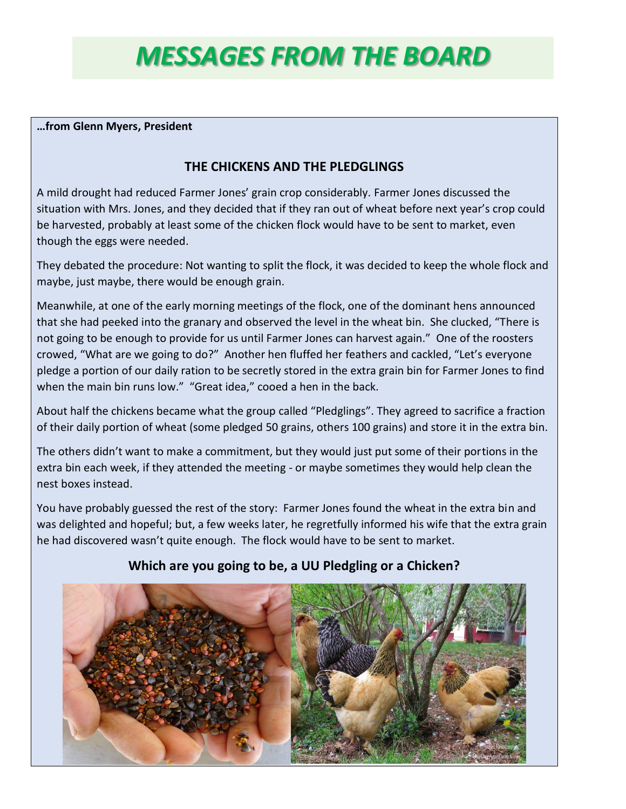# *MESSAGES FROM THE BOARD*

#### **…from Glenn Myers, President**

## **THE CHICKENS AND THE PLEDGLINGS**

A mild drought had reduced Farmer Jones' grain crop considerably. Farmer Jones discussed the situation with Mrs. Jones, and they decided that if they ran out of wheat before next year's crop could be harvested, probably at least some of the chicken flock would have to be sent to market, even though the eggs were needed.

They debated the procedure: Not wanting to split the flock, it was decided to keep the whole flock and maybe, just maybe, there would be enough grain.

Meanwhile, at one of the early morning meetings of the flock, one of the dominant hens announced that she had peeked into the granary and observed the level in the wheat bin. She clucked, "There is not going to be enough to provide for us until Farmer Jones can harvest again." One of the roosters crowed, "What are we going to do?" Another hen fluffed her feathers and cackled, "Let's everyone pledge a portion of our daily ration to be secretly stored in the extra grain bin for Farmer Jones to find when the main bin runs low." "Great idea," cooed a hen in the back.

About half the chickens became what the group called "Pledglings". They agreed to sacrifice a fraction of their daily portion of wheat (some pledged 50 grains, others 100 grains) and store it in the extra bin.

The others didn't want to make a commitment, but they would just put some of their portions in the extra bin each week, if they attended the meeting - or maybe sometimes they would help clean the nest boxes instead.

You have probably guessed the rest of the story: Farmer Jones found the wheat in the extra bin and was delighted and hopeful; but, a few weeks later, he regretfully informed his wife that the extra grain he had discovered wasn't quite enough. The flock would have to be sent to market.



### **Which are you going to be, a UU Pledgling or a Chicken?**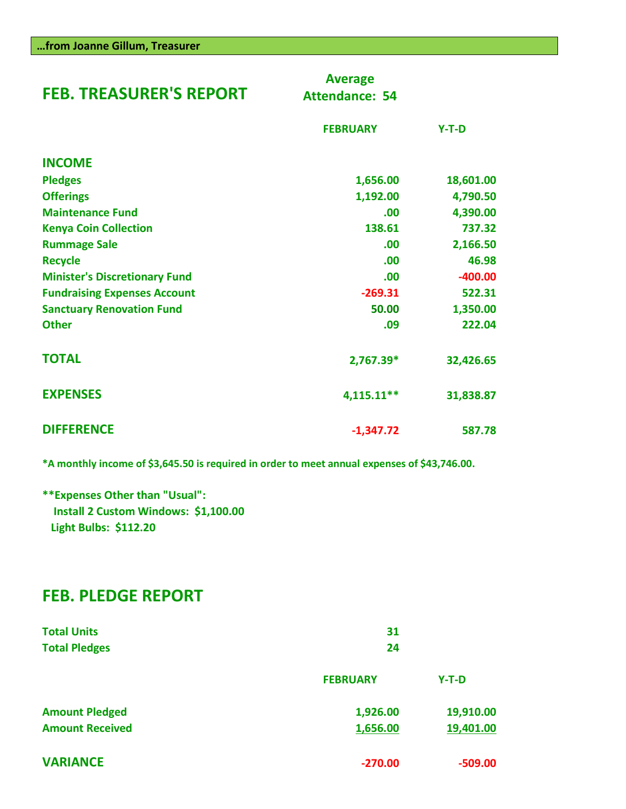| <b>FEB. TREASURER'S REPORT</b>       | <b>Average</b><br><b>Attendance: 54</b> |           |
|--------------------------------------|-----------------------------------------|-----------|
|                                      | <b>FEBRUARY</b>                         | $Y-T-D$   |
| <b>INCOME</b>                        |                                         |           |
| <b>Pledges</b>                       | 1,656.00                                | 18,601.00 |
| <b>Offerings</b>                     | 1,192.00                                | 4,790.50  |
| <b>Maintenance Fund</b>              | .00                                     | 4,390.00  |
| <b>Kenya Coin Collection</b>         | 138.61                                  | 737.32    |
| <b>Rummage Sale</b>                  | .00                                     | 2,166.50  |
| <b>Recycle</b>                       | .00                                     | 46.98     |
| <b>Minister's Discretionary Fund</b> | .00                                     | $-400.00$ |
| <b>Fundraising Expenses Account</b>  | $-269.31$                               | 522.31    |
| <b>Sanctuary Renovation Fund</b>     | 50.00                                   | 1,350.00  |
| <b>Other</b>                         | .09                                     | 222.04    |
| <b>TOTAL</b>                         | 2,767.39*                               | 32,426.65 |
| <b>EXPENSES</b>                      | 4,115.11**                              | 31,838.87 |
| <b>DIFFERENCE</b>                    | $-1,347.72$                             | 587.78    |

**\*A monthly income of \$3,645.50 is required in order to meet annual expenses of \$43,746.00.**

**\*\*Expenses Other than "Usual": Install 2 Custom Windows: \$1,100.00 Light Bulbs: \$112.20** 

## **FEB. PLEDGE REPORT**

| <b>Total Units</b><br><b>Total Pledges</b> | 31<br>24        |           |  |
|--------------------------------------------|-----------------|-----------|--|
|                                            | <b>FEBRUARY</b> | $Y-T-D$   |  |
| <b>Amount Pledged</b>                      | 1,926.00        | 19,910.00 |  |
| <b>Amount Received</b>                     | 1,656.00        | 19,401.00 |  |
| <b>VARIANCE</b>                            | $-270.00$       | $-509.00$ |  |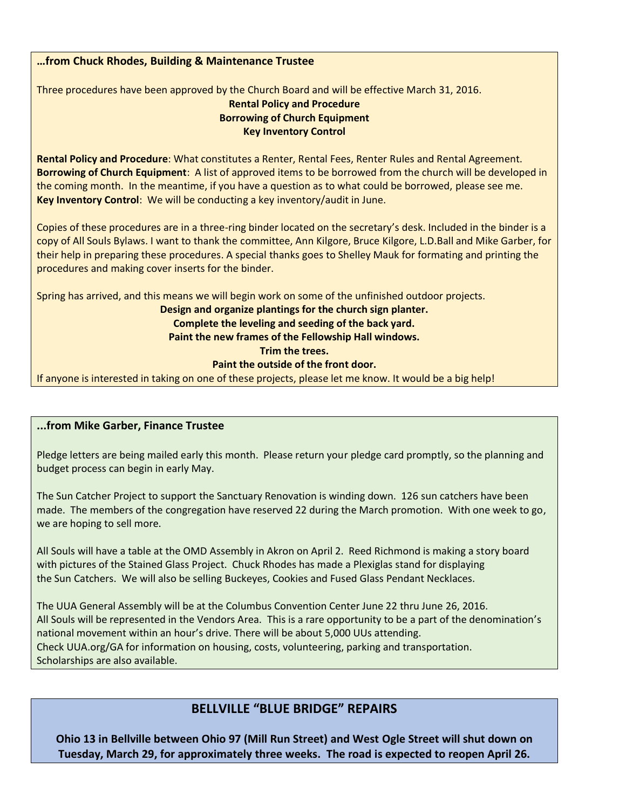#### **…from Chuck Rhodes, Building & Maintenance Trustee**

Three procedures have been approved by the Church Board and will be effective March 31, 2016.

#### **Rental Policy and Procedure Borrowing of Church Equipment Key Inventory Control**

**Rental Policy and Procedure**: What constitutes a Renter, Rental Fees, Renter Rules and Rental Agreement. **Borrowing of Church Equipment**: A list of approved items to be borrowed from the church will be developed in the coming month. In the meantime, if you have a question as to what could be borrowed, please see me. **Key Inventory Control**: We will be conducting a key inventory/audit in June.

Copies of these procedures are in a three-ring binder located on the secretary's desk. Included in the binder is a copy of All Souls Bylaws. I want to thank the committee, Ann Kilgore, Bruce Kilgore, L.D.Ball and Mike Garber, for their help in preparing these procedures. A special thanks goes to Shelley Mauk for formating and printing the procedures and making cover inserts for the binder.

Spring has arrived, and this means we will begin work on some of the unfinished outdoor projects.

**Design and organize plantings for the church sign planter.**

#### **Complete the leveling and seeding of the back yard.**

**Paint the new frames of the Fellowship Hall windows.**

#### **Trim the trees.**

#### **Paint the outside of the front door.**

If anyone is interested in taking on one of these projects, please let me know. It would be a big help!

#### **...from Mike Garber, Finance Trustee**

Pledge letters are being mailed early this month. Please return your pledge card promptly, so the planning and budget process can begin in early May.

The Sun Catcher Project to support the Sanctuary Renovation is winding down. 126 sun catchers have been made. The members of the congregation have reserved 22 during the March promotion. With one week to go, we are hoping to sell more.

All Souls will have a table at the OMD Assembly in Akron on April 2. Reed Richmond is making a story board with pictures of the Stained Glass Project. Chuck Rhodes has made a Plexiglas stand for displaying the Sun Catchers. We will also be selling Buckeyes, Cookies and Fused Glass Pendant Necklaces.

The UUA General Assembly will be at the Columbus Convention Center June 22 thru June 26, 2016. All Souls will be represented in the Vendors Area. This is a rare opportunity to be a part of the denomination's national movement within an hour's drive. There will be about 5,000 UUs attending. Check UUA.org/GA for information on housing, costs, volunteering, parking and transportation. Scholarships are also available.

## **BELLVILLE "BLUE BRIDGE" REPAIRS**

**Ohio 13 in Bellville between Ohio 97 (Mill Run Street) and West Ogle Street will shut down on Tuesday, March 29, for approximately three weeks. The road is expected to reopen April 26.**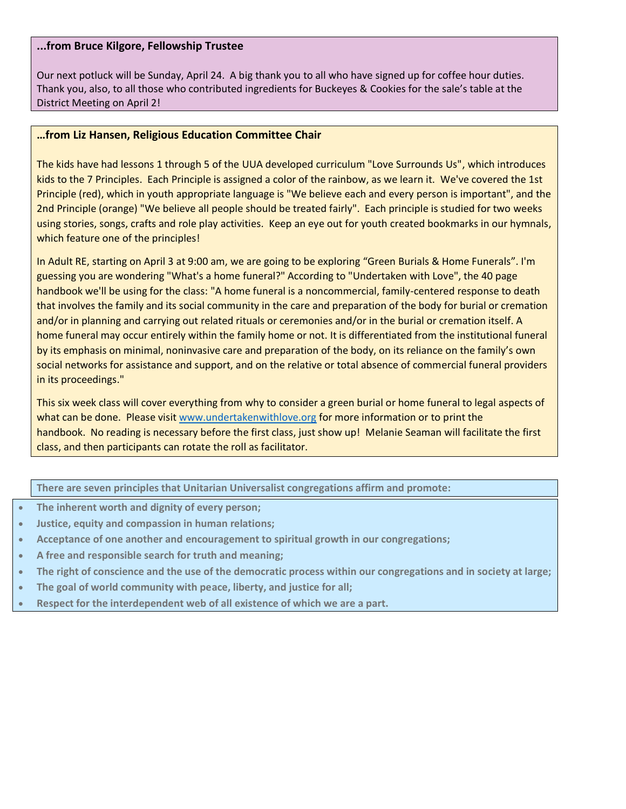#### **...from Bruce Kilgore, Fellowship Trustee**

Our next potluck will be Sunday, April 24. A big thank you to all who have signed up for coffee hour duties. Thank you, also, to all those who contributed ingredients for Buckeyes & Cookies for the sale's table at the District Meeting on April 2!

#### **…from Liz Hansen, Religious Education Committee Chair**

The kids have had lessons 1 through 5 of the UUA developed curriculum "Love Surrounds Us", which introduces kids to the 7 Principles. Each Principle is assigned a color of the rainbow, as we learn it. We've covered the 1st Principle (red), which in youth appropriate language is "We believe each and every person is important", and the 2nd Principle (orange) "We believe all people should be treated fairly". Each principle is studied for two weeks using stories, songs, crafts and role play activities. Keep an eye out for youth created bookmarks in our hymnals, which feature one of the principles!

In Adult RE, starting on April 3 at 9:00 am, we are going to be exploring "Green Burials & Home Funerals". I'm guessing you are wondering "What's a home funeral?" According to "Undertaken with Love", the 40 page handbook we'll be using for the class: "A home funeral is a noncommercial, family-centered response to death that involves the family and its social community in the care and preparation of the body for burial or cremation and/or in planning and carrying out related rituals or ceremonies and/or in the burial or cremation itself. A home funeral may occur entirely within the family home or not. It is differentiated from the institutional funeral by its emphasis on minimal, noninvasive care and preparation of the body, on its reliance on the family's own social networks for assistance and support, and on the relative or total absence of commercial funeral providers in its proceedings."

This six week class will cover everything from why to consider a green burial or home funeral to legal aspects of what can be done. Please visit [www.undertakenwithlove.org](http://www.undertakenwithlove.org/) for more information or to print the handbook. No reading is necessary before the first class, just show up! Melanie Seaman will facilitate the first class, and then participants can rotate the roll as facilitator.

**There are seven principles that Unitarian Universalist congregations affirm and promote:**

- **The inherent worth and dignity of every person;**
- **Justice, equity and compassion in human relations;**
- **Acceptance of one another and encouragement to spiritual growth in our congregations;**
- **A free and responsible search for truth and meaning;**
- **The right of conscience and the use of the democratic process within our congregations and in society at large;**
- **The goal of world community with peace, liberty, and justice for all;**
- **Respect for the interdependent web of all existence of which we are a part.**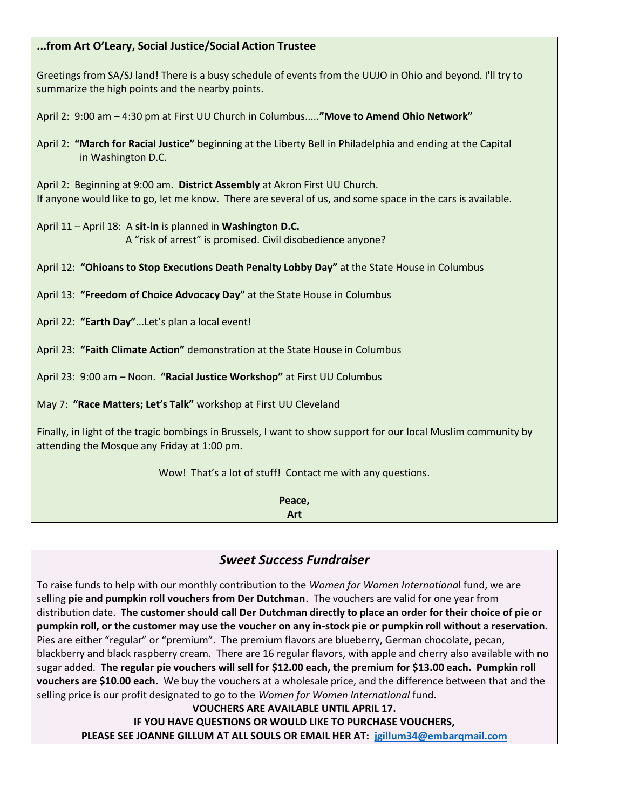#### **...from Art O'Leary, Social Justice/Social Action Trustee**

Greetings from SA/SJ land! There is a busy schedule of events from the UUJO in Ohio and beyond. I'll try to summarize the high points and the nearby points.

April 2: 9:00 am – 4:30 pm at First UU Church in Columbus.....**"Move to Amend Ohio Network"**

April 2: **"March for Racial Justice"** beginning at the Liberty Bell in Philadelphia and ending at the Capital in Washington D.C.

April 2: Beginning at 9:00 am. **District Assembly** at Akron First UU Church. If anyone would like to go, let me know. There are several of us, and some space in the cars is available.

April 11 – April 18: A **sit-in** is planned in **Washington D.C.** A "risk of arrest" is promised. Civil disobedience anyone?

April 12: **"Ohioans to Stop Executions Death Penalty Lobby Day"** at the State House in Columbus

April 13: **"Freedom of Choice Advocacy Day"** at the State House in Columbus

April 22: **"Earth Day"**...Let's plan a local event!

April 23: **"Faith Climate Action"** demonstration at the State House in Columbus

April 23: 9:00 am – Noon. **"Racial Justice Workshop"** at First UU Columbus

May 7: **"Race Matters; Let's Talk"** workshop at First UU Cleveland

Finally, in light of the tragic bombings in Brussels, I want to show support for our local Muslim community by attending the Mosque any Friday at 1:00 pm.

Wow! That's a lot of stuff! Contact me with any questions.

**Peace, Art**

## *Sweet Success Fundraiser*

To raise funds to help with our monthly contribution to the *Women for Women Internationa*l fund, we are selling **pie and pumpkin roll vouchers from Der Dutchman**. The vouchers are valid for one year from distribution date. **The customer should call Der Dutchman directly to place an order for their choice of pie or pumpkin roll, or the customer may use the voucher on any in-stock pie or pumpkin roll without a reservation.** Pies are either "regular" or "premium". The premium flavors are blueberry, German chocolate, pecan, blackberry and black raspberry cream. There are 16 regular flavors, with apple and cherry also available with no sugar added. **The regular pie vouchers will sell for \$12.00 each, the premium for \$13.00 each. Pumpkin roll vouchers are \$10.00 each.** We buy the vouchers at a wholesale price, and the difference between that and the selling price is our profit designated to go to the *Women for Women International* fund.

**VOUCHERS ARE AVAILABLE UNTIL APRIL 17. IF YOU HAVE QUESTIONS OR WOULD LIKE TO PURCHASE VOUCHERS, PLEASE SEE JOANNE GILLUM AT ALL SOULS OR EMAIL HER AT: [jgillum34@embarqmail.com](mailto:jgillum34@embarqmail.com)**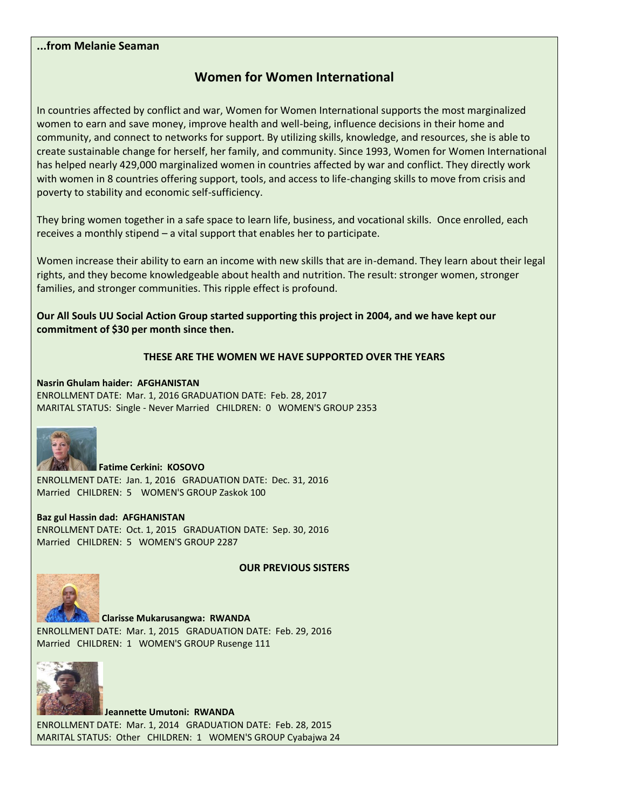#### **...from Melanie Seaman**

## **Women for Women International**

In countries affected by conflict and war, Women for Women International supports the most marginalized women to earn and save money, improve health and well-being, influence decisions in their home and community, and connect to networks for support. By utilizing skills, knowledge, and resources, she is able to create sustainable change for herself, her family, and community. Since 1993, Women for Women International has helped nearly 429,000 marginalized women in countries affected by war and conflict. They directly work with women in 8 countries offering support, tools, and access to life-changing skills to move from crisis and poverty to stability and economic self-sufficiency.

They bring women together in a safe space to learn life, business, and vocational skills. Once enrolled, each receives a monthly stipend – a vital support that enables her to participate.

Women increase their ability to earn an income with new skills that are in-demand. They learn about their legal rights, and they become knowledgeable about health and nutrition. The result: stronger women, stronger families, and stronger communities. This ripple effect is profound.

**Our All Souls UU Social Action Group started supporting this project in 2004, and we have kept our commitment of \$30 per month since then.** 

#### **THESE ARE THE WOMEN WE HAVE SUPPORTED OVER THE YEARS**

**Nasrin Ghulam haider: AFGHANISTAN** ENROLLMENT DATE: Mar. 1, 2016 GRADUATION DATE: Feb. 28, 2017 MARITAL STATUS: Single - Never Married CHILDREN: 0 WOMEN'S GROUP 2353



**Fatime Cerkini: KOSOVO** ENROLLMENT DATE: Jan. 1, 2016 GRADUATION DATE: Dec. 31, 2016 Married CHILDREN: 5 WOMEN'S GROUP Zaskok 100

#### **Baz gul Hassin dad: AFGHANISTAN**

ENROLLMENT DATE: Oct. 1, 2015 GRADUATION DATE: Sep. 30, 2016 Married CHILDREN: 5 WOMEN'S GROUP 2287

#### **OUR PREVIOUS SISTERS**



**Clarisse Mukarusangwa: RWANDA**  ENROLLMENT DATE: Mar. 1, 2015 GRADUATION DATE: Feb. 29, 2016 Married CHILDREN: 1 WOMEN'S GROUP Rusenge 111



**Jeannette Umutoni: RWANDA**  ENROLLMENT DATE: Mar. 1, 2014 GRADUATION DATE: Feb. 28, 2015 MARITAL STATUS: Other CHILDREN: 1 WOMEN'S GROUP Cyabajwa 24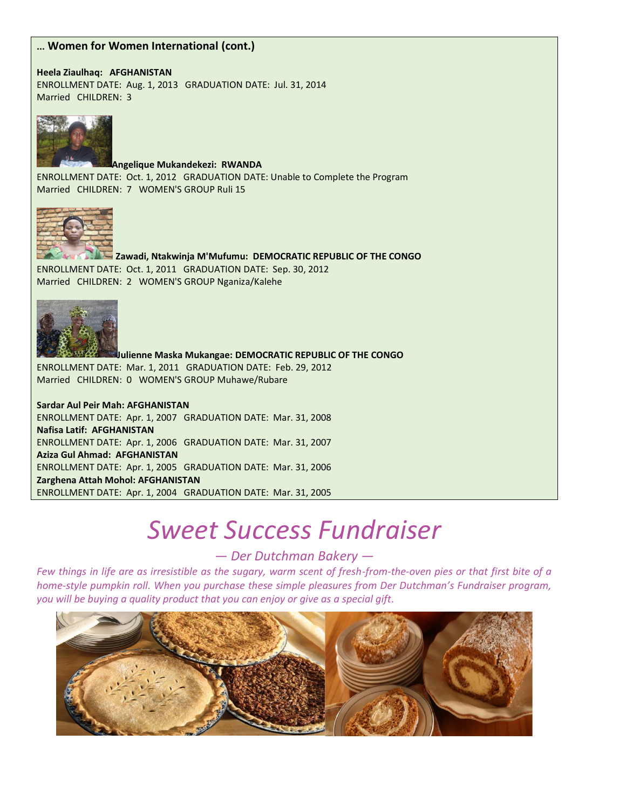#### **... Women for Women International (cont.)**

**Heela Ziaulhaq: AFGHANISTAN**  ENROLLMENT DATE: Aug. 1, 2013 GRADUATION DATE: Jul. 31, 2014 Married CHILDREN: 3



**Angelique Mukandekezi: RWANDA**  ENROLLMENT DATE: Oct. 1, 2012 GRADUATION DATE: Unable to Complete the Program Married CHILDREN: 7 WOMEN'S GROUP Ruli 15



**Zawadi, Ntakwinja M'Mufumu: DEMOCRATIC REPUBLIC OF THE CONGO** ENROLLMENT DATE: Oct. 1, 2011 GRADUATION DATE: Sep. 30, 2012 Married CHILDREN: 2 WOMEN'S GROUP Nganiza/Kalehe



**Julienne Maska Mukangae: DEMOCRATIC REPUBLIC OF THE CONGO**  ENROLLMENT DATE: Mar. 1, 2011 GRADUATION DATE: Feb. 29, 2012 Married CHILDREN: 0 WOMEN'S GROUP Muhawe/Rubare

**Sardar Aul Peir Mah: AFGHANISTAN**  ENROLLMENT DATE: Apr. 1, 2007 GRADUATION DATE: Mar. 31, 2008 **Nafisa Latif: AFGHANISTAN**  ENROLLMENT DATE: Apr. 1, 2006 GRADUATION DATE: Mar. 31, 2007 **Aziza Gul Ahmad: AFGHANISTAN**  ENROLLMENT DATE: Apr. 1, 2005 GRADUATION DATE: Mar. 31, 2006 **Zarghena Attah Mohol: AFGHANISTAN**  ENROLLMENT DATE: Apr. 1, 2004 GRADUATION DATE: Mar. 31, 2005

# *Sweet Success Fundraiser*

*— Der Dutchman Bakery —*

*Few things in life are as irresistible as the sugary, warm scent of fresh-from-the-oven pies or that first bite of a home-style pumpkin roll. When you purchase these simple pleasures from Der Dutchman's Fundraiser program, you will be buying a quality product that you can enjoy or give as a special gift.*

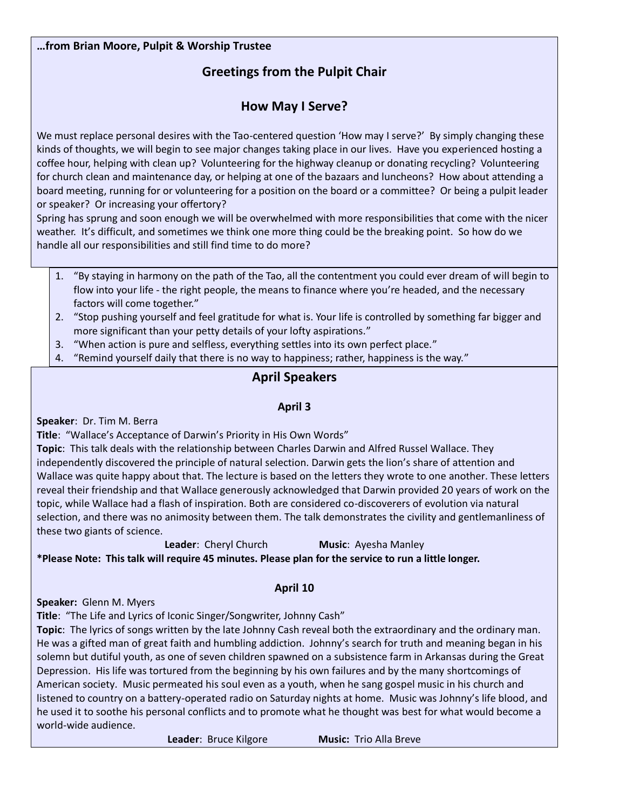#### **…from Brian Moore, Pulpit & Worship Trustee**

## **Greetings from the Pulpit Chair**

## **How May I Serve?**

We must replace personal desires with the Tao-centered question 'How may I serve?' By simply changing these kinds of thoughts, we will begin to see major changes taking place in our lives. Have you experienced hosting a coffee hour, helping with clean up? Volunteering for the highway cleanup or donating recycling? Volunteering for church clean and maintenance day, or helping at one of the bazaars and luncheons? How about attending a board meeting, running for or volunteering for a position on the board or a committee? Or being a pulpit leader or speaker? Or increasing your offertory?

Spring has sprung and soon enough we will be overwhelmed with more responsibilities that come with the nicer weather. It's difficult, and sometimes we think one more thing could be the breaking point. So how do we handle all our responsibilities and still find time to do more?

- 1. "By staying in harmony on the path of the Tao, all the contentment you could ever dream of will begin to flow into your life - the right people, the means to finance where you're headed, and the necessary factors will come together."
- 2. "Stop pushing yourself and feel gratitude for what is. Your life is controlled by something far bigger and more significant than your petty details of your lofty aspirations."
- 3. "When action is pure and selfless, everything settles into its own perfect place."
- 4. "Remind yourself daily that there is no way to happiness; rather, happiness is the way."

## **April Speakers**

#### **April 3**

**Speaker**: Dr. Tim M. Berra

**Title**: "Wallace's Acceptance of Darwin's Priority in His Own Words"

**Topic**: This talk deals with the relationship between Charles Darwin and Alfred Russel Wallace. They independently discovered the principle of natural selection. Darwin gets the lion's share of attention and Wallace was quite happy about that. The lecture is based on the letters they wrote to one another. These letters reveal their friendship and that Wallace generously acknowledged that Darwin provided 20 years of work on the topic, while Wallace had a flash of inspiration. Both are considered co-discoverers of evolution via natural selection, and there was no animosity between them. The talk demonstrates the civility and gentlemanliness of these two giants of science.

**Leader**: Cheryl Church **Music**: Ayesha Manley **\*Please Note: This talk will require 45 minutes. Please plan for the service to run a little longer.** 

#### **April 10**

**Speaker:** Glenn M. Myers

**Title**: "The Life and Lyrics of Iconic Singer/Songwriter, Johnny Cash"

**Topic**: The lyrics of songs written by the late Johnny Cash reveal both the extraordinary and the ordinary man. He was a gifted man of great faith and humbling addiction. Johnny's search for truth and meaning began in his solemn but dutiful youth, as one of seven children spawned on a subsistence farm in Arkansas during the Great Depression. His life was tortured from the beginning by his own failures and by the many shortcomings of American society. Music permeated his soul even as a youth, when he sang gospel music in his church and listened to country on a battery-operated radio on Saturday nights at home. Music was Johnny's life blood, and he used it to soothe his personal conflicts and to promote what he thought was best for what would become a world-wide audience.

**Leader**: Bruce Kilgore **Music:** Trio Alla Breve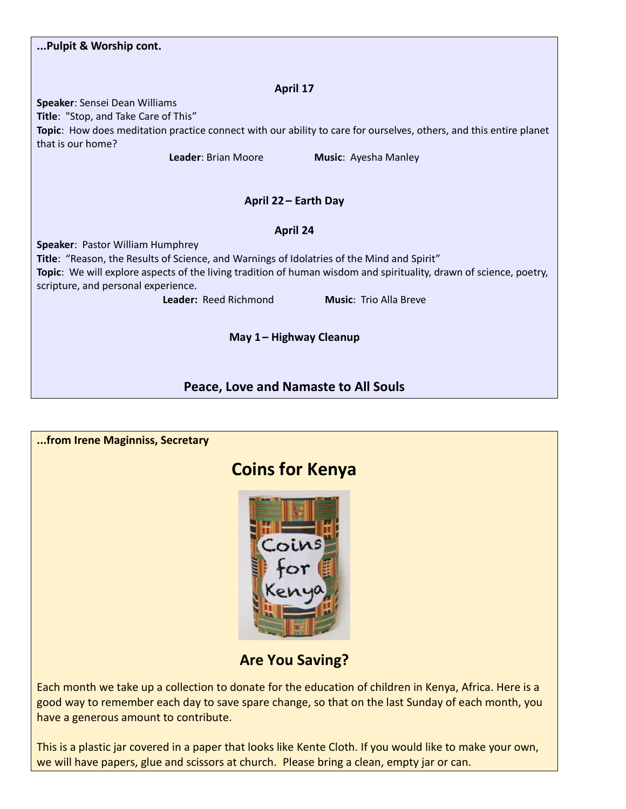| Pulpit & Worship cont.                                                                                                                                                                                                                                                                      |  |  |  |  |
|---------------------------------------------------------------------------------------------------------------------------------------------------------------------------------------------------------------------------------------------------------------------------------------------|--|--|--|--|
| April 17                                                                                                                                                                                                                                                                                    |  |  |  |  |
| Speaker: Sensei Dean Williams<br>Title: "Stop, and Take Care of This"<br>Topic: How does meditation practice connect with our ability to care for ourselves, others, and this entire planet                                                                                                 |  |  |  |  |
| that is our home?<br>Leader: Brian Moore<br>Music: Ayesha Manley                                                                                                                                                                                                                            |  |  |  |  |
| April 22 - Earth Day                                                                                                                                                                                                                                                                        |  |  |  |  |
| April 24                                                                                                                                                                                                                                                                                    |  |  |  |  |
| Speaker: Pastor William Humphrey<br>Title: "Reason, the Results of Science, and Warnings of Idolatries of the Mind and Spirit"<br>Topic: We will explore aspects of the living tradition of human wisdom and spirituality, drawn of science, poetry,<br>scripture, and personal experience. |  |  |  |  |
| Leader: Reed Richmond<br><b>Music: Trio Alla Breve</b>                                                                                                                                                                                                                                      |  |  |  |  |
| May 1-Highway Cleanup                                                                                                                                                                                                                                                                       |  |  |  |  |
| <b>Peace, Love and Namaste to All Souls</b>                                                                                                                                                                                                                                                 |  |  |  |  |

| from Irene Maginniss, Secretary                                                                        |
|--------------------------------------------------------------------------------------------------------|
| <b>Coins for Kenya</b>                                                                                 |
| Coins                                                                                                  |
| <b>Are You Saving?</b>                                                                                 |
| Each month we take up a collection to donate for the education of children in Kenya, Africa. Here is a |

good way to remember each day to save spare change, so that on the last Sunday of each month, you have a generous amount to contribute.

This is a plastic jar covered in a paper that looks like Kente Cloth. If you would like to make your own, we will have papers, glue and scissors at church. Please bring a clean, empty jar or can.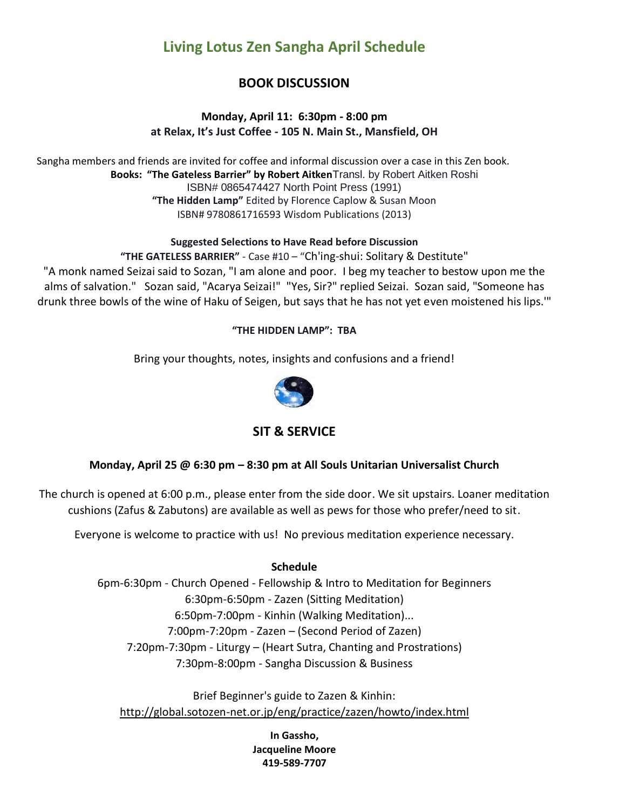## **Living Lotus Zen Sangha April Schedule**

## **BOOK DISCUSSION**

#### **Monday, April 11: 6:30pm - 8:00 pm at Relax, It's Just Coffee - 105 N. Main St., Mansfield, OH**

Sangha members and friends are invited for coffee and informal discussion over a case in this Zen book. **Books: "The Gateless Barrier" by Robert Aitken**Transl. by Robert Aitken Roshi ISBN# 0865474427 North Point Press (1991) **"The Hidden Lamp"** Edited by Florence Caplow & Susan Moon ISBN# 9780861716593 Wisdom Publications (2013)

#### **Suggested Selections to Have Read before Discussion**

**"THE GATELESS BARRIER"** - Case #10 – "Ch'ing-shui: Solitary & Destitute" "A monk named Seizai said to Sozan, "I am alone and poor. I beg my teacher to bestow upon me the alms of salvation." Sozan said, "Acarya Seizai!" "Yes, Sir?" replied Seizai. Sozan said, "Someone has drunk three bowls of the wine of Haku of Seigen, but says that he has not yet even moistened his lips.'"

#### **"THE HIDDEN LAMP": TBA**

Bring your thoughts, notes, insights and confusions and a friend!



### **SIT & SERVICE**

#### **Monday, April 25 @ 6:30 pm – 8:30 pm at All Souls Unitarian Universalist Church**

The church is opened at 6:00 p.m., please enter from the side door. We sit upstairs. Loaner meditation cushions (Zafus & Zabutons) are available as well as pews for those who prefer/need to sit.

Everyone is welcome to practice with us! No previous meditation experience necessary.

#### **Schedule**

6pm-6:30pm - Church Opened - Fellowship & Intro to Meditation for Beginners 6:30pm-6:50pm - Zazen (Sitting Meditation) 6:50pm-7:00pm - Kinhin (Walking Meditation)... 7:00pm-7:20pm - Zazen – (Second Period of Zazen) 7:20pm-7:30pm - Liturgy – (Heart Sutra, Chanting and Prostrations) 7:30pm-8:00pm - Sangha Discussion & Business

Brief Beginner's guide to Zazen & Kinhin: [http://global.sotozen-net.or.jp/eng/practice/zazen/howto/index.html](http://l.facebook.com/?u=http%3A%2F%2Fglobal.sotozen-net.or.jp%2Feng%2Fpractice%2Fzazen%2Fhowto%2Findex.html&e=ATOXqawJM1--9N9v8oPw8oyhjopfFmZVyt2JFfRZL-qFiiYq8uBExuSIEUOSpg)

> **In Gassho, Jacqueline Moore 419-589-7707**